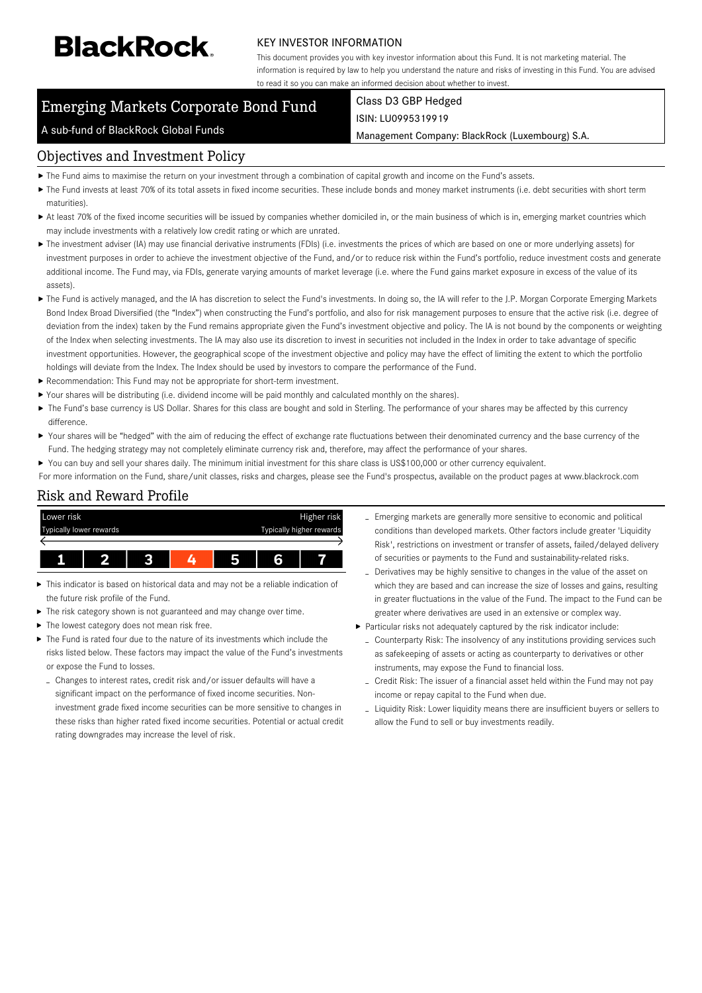# **BlackRock**

#### KEY INVESTOR INFORMATION

This document provides you with key investor information about this Fund. It is not marketing material. The information is required by law to help you understand the nature and risks of investing in this Fund. You are advised to read it so you can make an informed decision about whether to invest.

## Emerging Markets Corporate Bond Fund

# Class D3 GBP Hedged

A sub-fund of BlackRock Global Funds

ISIN: LU0995319919

Management Company: BlackRock (Luxembourg) S.A.

#### Objectives and Investment Policy

- The Fund aims to maximise the return on your investment through a combination of capital growth and income on the Fund's assets.
- ▶ The Fund invests at least 70% of its total assets in fixed income securities. These include bonds and money market instruments (i.e. debt securities with short term maturities).
- ▶ At least 70% of the fixed income securities will be issued by companies whether domiciled in, or the main business of which is in, emerging market countries which may include investments with a relatively low credit rating or which are unrated.
- ▶ The investment adviser (IA) may use financial derivative instruments (FDIs) (i.e. investments the prices of which are based on one or more underlying assets) for investment purposes in order to achieve the investment objective of the Fund, and/or to reduce risk within the Fund's portfolio, reduce investment costs and generate additional income. The Fund may, via FDIs, generate varying amounts of market leverage (i.e. where the Fund gains market exposure in excess of the value of its assets).
- ▶ The Fund is actively managed, and the IA has discretion to select the Fund's investments. In doing so, the IA will refer to the J.P. Morgan Corporate Emerging Markets Bond Index Broad Diversified (the "Index") when constructing the Fund's portfolio, and also for risk management purposes to ensure that the active risk (i.e. degree of deviation from the index) taken by the Fund remains appropriate given the Fund's investment objective and policy. The IA is not bound by the components or weighting of the Index when selecting investments. The IA may also use its discretion to invest in securities not included in the Index in order to take advantage of specific investment opportunities. However, the geographical scope of the investment objective and policy may have the effect of limiting the extent to which the portfolio holdings will deviate from the Index. The Index should be used by investors to compare the performance of the Fund.
- Recommendation: This Fund may not be appropriate for short-term investment.
- Your shares will be distributing (i.e. dividend income will be paid monthly and calculated monthly on the shares).
- ▶ The Fund's base currency is US Dollar. Shares for this class are bought and sold in Sterling. The performance of your shares may be affected by this currency difference.
- Your shares will be "hedged" with the aim of reducing the effect of exchange rate fluctuations between their denominated currency and the base currency of the Fund. The hedging strategy may not completely eliminate currency risk and, therefore, may affect the performance of your shares.
- ▶ You can buy and sell your shares daily. The minimum initial investment for this share class is US\$100,000 or other currency equivalent.
- For more information on the Fund, share/unit classes, risks and charges, please see the Fund's prospectus, available on the product pages at www.blackrock.com

#### Risk and Reward Profile



- This indicator is based on historical data and may not be a reliable indication of the future risk profile of the Fund.
- ь The risk category shown is not guaranteed and may change over time.
- The lowest category does not mean risk free.
- The Fund is rated four due to the nature of its investments which include the risks listed below. These factors may impact the value of the Fund's investments or expose the Fund to losses.
	- Changes to interest rates, credit risk and/or issuer defaults will have a significant impact on the performance of fixed income securities. Noninvestment grade fixed income securities can be more sensitive to changes in these risks than higher rated fixed income securities. Potential or actual credit rating downgrades may increase the level of risk.
- Emerging markets are generally more sensitive to economic and political conditions than developed markets. Other factors include greater 'Liquidity Risk', restrictions on investment or transfer of assets, failed/delayed delivery of securities or payments to the Fund and sustainability-related risks.
- Derivatives may be highly sensitive to changes in the value of the asset on which they are based and can increase the size of losses and gains, resulting in greater fluctuations in the value of the Fund. The impact to the Fund can be greater where derivatives are used in an extensive or complex way.
- Particular risks not adequately captured by the risk indicator include:
	- Counterparty Risk: The insolvency of any institutions providing services such as safekeeping of assets or acting as counterparty to derivatives or other instruments, may expose the Fund to financial loss.
	- Credit Risk: The issuer of a financial asset held within the Fund may not pay income or repay capital to the Fund when due.
	- Liquidity Risk: Lower liquidity means there are insufficient buyers or sellers to allow the Fund to sell or buy investments readily.